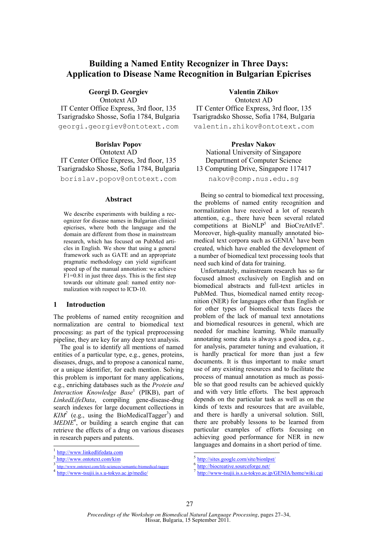# **Building a Named Entity Recognizer in Three Days: Application to Disease Name Recognition in Bulgarian Epicrises**

**Georgi D. Georgiev**  Ontotext AD

IT Center Office Express, 3rd floor, 135 Tsarigradsko Shosse, Sofia 1784, Bulgaria georgi.georgiev@ontotext.com

> **Borislav Popov**  Ontotext AD

IT Center Office Express, 3rd floor, 135 Tsarigradsko Shosse, Sofia 1784, Bulgaria borislav.popov@ontotext.com

#### **Abstract**

We describe experiments with building a recognizer for disease names in Bulgarian clinical epicrises, where both the language and the domain are different from those in mainstream research, which has focused on PubMed articles in English. We show that using a general framework such as GATE and an appropriate pragmatic methodology can yield significant speed up of the manual annotation: we achieve  $F1=0.81$  in just three days. This is the first step towards our ultimate goal: named entity normalization with respect to ICD-10.

## **1 Introduction**

The problems of named entity recognition and normalization are central to biomedical text processing: as part of the typical preprocessing pipeline, they are key for any deep text analysis.

The goal is to identify all mentions of named entities of a particular type, e.g., genes, proteins, diseases, drugs, and to propose a canonical name, or a unique identifier, for each mention. Solving this problem is important for many applications, e.g., enriching databases such as the *Protein and Interaction Knowledge Base*<sup>1</sup> (PIKB), part of *LinkedLifeData*, compiling gene-disease-drug search indexes for large document collections in  $KIM<sup>2</sup>$  (e.g., using the BioMedicalTagger<sup>3</sup>) and *MEDIE*<sup>4</sup> , or building a search engine that can retrieve the effects of a drug on various diseases in research papers and patents.

 $\overline{\phantom{0}}$ 

# **Valentin Zhikov**

Ontotext AD IT Center Office Express, 3rd floor, 135 Tsarigradsko Shosse, Sofia 1784, Bulgaria valentin.zhikov@ontotext.com

**Preslav Nakov**  National University of Singapore Department of Computer Science 13 Computing Drive, Singapore 117417 nakov@comp.nus.edu.sg

Being so central to biomedical text processing, the problems of named entity recognition and normalization have received a lot of research attention, e.g., there have been several related competitions at  $BioNLP^5$  and  $BioCreAtIVE^6$ . Moreover, high-quality manually annotated biomedical text corpora such as GENIA<sup>7</sup> have been created, which have enabled the development of a number of biomedical text processing tools that need such kind of data for training.

Unfortunately, mainstream research has so far focused almost exclusively on English and on biomedical abstracts and full-text articles in PubMed. Thus, biomedical named entity recognition (NER) for languages other than English or for other types of biomedical texts faces the problem of the lack of manual text annotations and biomedical resources in general, which are needed for machine learning. While manually annotating some data is always a good idea, e.g., for analysis, parameter tuning and evaluation, it is hardly practical for more than just a few documents. It is thus important to make smart use of any existing resources and to facilitate the process of manual annotation as much as possible so that good results can be achieved quickly and with very little efforts. The best approach depends on the particular task as well as on the kinds of texts and resources that are available, and there is hardly a universal solution. Still, there are probably lessons to be learned from particular examples of efforts focusing on achieving good performance for NER in new languages and domains in a short period of time.

<sup>1</sup> http://www.linkedlifedata.com

<sup>2</sup> http://www.ontotext.com/kim

<sup>3</sup> http://www.ontotext.com/life-sciences/semantic-biomedical-tagger

<sup>4</sup> http://www-tsujii.is.s.u-tokyo.ac.jp/medie/

 5 http://sites.google.com/site/bionlpst/

<sup>6</sup> http://biocreative.sourceforge.net/

<sup>7</sup> http://www-tsujii.is.s.u-tokyo.ac.jp/GENIA/home/wiki.cgi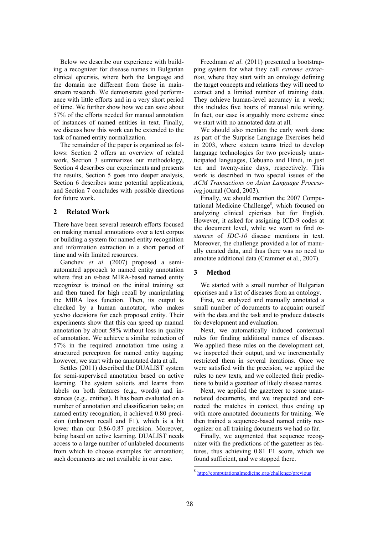Below we describe our experience with building a recognizer for disease names in Bulgarian clinical epicrisis, where both the language and the domain are different from those in mainstream research. We demonstrate good performance with little efforts and in a very short period of time. We further show how we can save about 57% of the efforts needed for manual annotation of instances of named entities in text. Finally, we discuss how this work can be extended to the task of named entity normalization.

The remainder of the paper is organized as follows: Section 2 offers an overview of related work, Section 3 summarizes our methodology, Section 4 describes our experiments and presents the results, Section 5 goes into deeper analysis, Section 6 describes some potential applications, and Section 7 concludes with possible directions for future work.

## **2 Related Work**

There have been several research efforts focused on making manual annotations over a text corpus or building a system for named entity recognition and information extraction in a short period of time and with limited resources.

Ganchev *et al.* (2007) proposed a semiautomated approach to named entity annotation where first an *n*-best MIRA-based named entity recognizer is trained on the initial training set and then tuned for high recall by manipulating the MIRA loss function. Then, its output is checked by a human annotator, who makes yes/no decisions for each proposed entity. Their experiments show that this can speed up manual annotation by about 58% without loss in quality of annotation. We achieve a similar reduction of 57% in the required annotation time using a structured perceptron for named entity tagging; however, we start with no annotated data at all.

Settles (2011) described the DUALIST system for semi-supervised annotation based on active learning. The system solicits and learns from labels on both features (e.g., words) and instances (e.g., entities). It has been evaluated on a number of annotation and classification tasks; on named entity recognition, it achieved 0.80 precision (unknown recall and F1), which is a bit lower than our 0.86-0.87 precision. Moreover, being based on active learning, DUALIST needs access to a large number of unlabeled documents from which to choose examples for annotation; such documents are not available in our case.

Freedman *et al*. (2011) presented a bootstrapping system for what they call *extreme extraction*, where they start with an ontology defining the target concepts and relations they will need to extract and a limited number of training data. They achieve human-level accuracy in a week; this includes five hours of manual rule writing. In fact, our case is arguably more extreme since we start with no annotated data at all.

We should also mention the early work done as part of the Surprise Language Exercises held in 2003, where sixteen teams tried to develop language technologies for two previously unanticipated languages, Cebuano and Hindi, in just ten and twenty-nine days, respectively. This work is described in two special issues of the *ACM Transactions on Asian Language Processing* journal (Oard, 2003).

Finally, we should mention the 2007 Computational Medicine Challenge<sup>8</sup>, which focused on analyzing clinical epicrises but for English. However, it asked for assigning ICD-9 codes at the document level, while we want to find *instances* of *IDC-10* disease mentions in text. Moreover, the challenge provided a lot of manually curated data, and thus there was no need to annotate additional data (Crammer et al., 2007).

## **3 Method**

We started with a small number of Bulgarian epicrises and a list of diseases from an ontology.

First, we analyzed and manually annotated a small number of documents to acquaint ourself with the data and the task and to produce datasets for development and evaluation.

Next, we automatically induced contextual rules for finding additional names of diseases. We applied these rules on the development set, we inspected their output, and we incrementally restricted them in several iterations. Once we were satisfied with the precision, we applied the rules to new texts, and we collected their predictions to build a gazetteer of likely disease names.

Next, we applied the gazetteer to some unannotated documents, and we inspected and corrected the matches in context, thus ending up with more annotated documents for training. We then trained a sequence-based named entity recognizer on all training documents we had so far.

Finally, we augmented that sequence recognizer with the predictions of the gazetteer as features, thus achieving 0.81 F1 score, which we found sufficient, and we stopped there.

<sup>8&</sup>lt;br>8 http://computationalmedicine.org/challenge/previous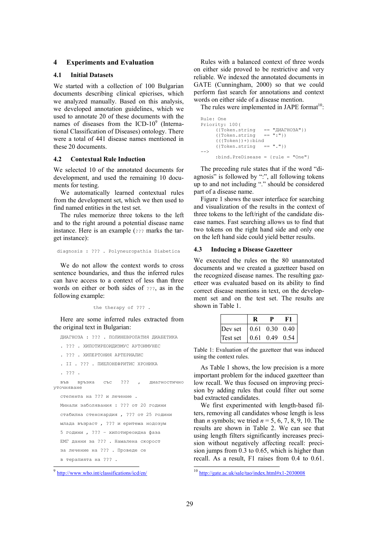## **4 Experiments and Evaluation**

### **4.1 Initial Datasets**

We started with a collection of 100 Bulgarian documents describing clinical epicrises, which we analyzed manually. Based on this analysis, we developed annotation guidelines, which we used to annotate 20 of these documents with the names of diseases from the  $ICD-10<sup>9</sup>$  (International Classification of Diseases) ontology. There were a total of 441 disease names mentioned in these 20 documents.

#### **4.2 Contextual Rule Induction**

We selected 10 of the annotated documents for development, and used the remaining 10 documents for testing.

We automatically learned contextual rules from the development set, which we then used to find named entities in the test set.

The rules memorize three tokens to the left and to the right around a potential disease name instance. Here is an example (??? marks the target instance):

diagnosis : ??? . Polyneuropathia Diabetica

We do not allow the context words to cross sentence boundaries, and thus the inferred rules can have access to a context of less than three words on either or both sides of ???, as in the following example:

```
the therapy of ??? .
```
Here are some inferred rules extracted from the original text in Bulgarian:

ДИАГНОЗА : ??? . ПОЛИНЕВРОПАТИЯ ДИАБЕТИКА . ??? . ХИПОТИРЕОИДИЗМУС АУТОИМУНЕС

```
. ??? . ХИПЕРТОНИЯ АРТЕРИАЛИС
```

```
. ІІ . ??? . ПИЕЛОНЕФРИТИС ХРОНИКА
```

```
. ??? .
```
във връзка със ??? , диагностично уточняване степента на ??? и лечение . Минали заболявания : ??? от 20 години стабилна стенокардия , ??? от 25 години млада възраст , ??? и еритема нодозум

5 години , ??? – хипотиреоидна фаза

```
ЕМГ данни за ??? . Намалена скорост
```

```
за лечение на ??? . Проведе се
```
в терапията на ??? .

 $\overline{a}$ 

Rules with a balanced context of three words on either side proved to be restrictive and very reliable. We indexed the annotated documents in GATE (Cunningham, 2000) so that we could perform fast search for annotations and context words on either side of a disease mention.

The rules were implemented in JAPE format<sup>10</sup>:

```
Rule: One 
Priority: 100 (<br>({Token.string
                               == "ДИАГНОЗА"})<br>== ":"})
       ({Token.string
       ((\text{Token}) +):bind<br>(\text{Token-string} == ".'')({Token.string
-- :bind.PreDisease = {rule = "One"}
```
The preceding rule states that if the word "diagnosis" is followed by ":", all following tokens up to and not including "." should be considered part of a disease name.

Figure 1 shows the user interface for searching and visualization of the results in the context of three tokens to the left/right of the candidate disease names. Fast searching allows us to find that two tokens on the right hand side and only one on the left hand side could yield better results.

#### **4.3 Inducing a Disease Gazetteer**

We executed the rules on the 80 unannotated documents and we created a gazetteer based on the recognized disease names. The resulting gazetteer was evaluated based on its ability to find correct disease mentions in text, on the development set and on the test set. The results are shown in Table 1.

| Dev set  | $0.61$ 0.30 0.40 |  |
|----------|------------------|--|
| Test set | $0.61$ 0.49 0.54 |  |

Table 1: Evaluation of the gazetteer that was induced using the context rules.

As Table 1 shows, the low precision is a more important problem for the induced gazetteer than low recall. We thus focused on improving precision by adding rules that could filter out some bad extracted candidates.

We first experimented with length-based filters, removing all candidates whose length is less than *n* symbols; we tried  $n = 5, 6, 7, 8, 9, 10$ . The results are shown in Table 2. We can see that using length filters significantly increases precision without negatively affecting recall: precision jumps from 0.3 to 0.65, which is higher than recall. As a result, F1 raises from 0.4 to 0.61.

<u>.</u>

<sup>9</sup> http://www.who.int/classifications/icd/en/

<sup>&</sup>lt;sup>10</sup> http://gate.ac.uk/sale/tao/index.html#x1-2030008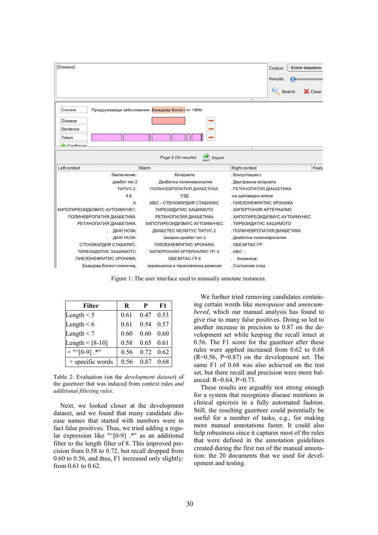

Figure 1: The user interface used to manually annotate instances.

| <b>Filter</b>       | R    | P    | F1                |
|---------------------|------|------|-------------------|
| Length $\leq 5$     | 0.61 | 0.47 | 0.53              |
| Length $\leq 6$     | 0.61 | 0.54 | 0.57              |
| Length $<$ 7        | 0.60 | 0.60 | 0.60              |
| Length $\le$ [8-10] | 0.58 | 0.65 | 0.61              |
| $+$ "^[0-9] .*"     | 0.56 |      | $0.72 \quad 0.62$ |
| + specific words    | 0.56 | 0.87 | 0.68              |

Table 2: Evaluation (on the *development dataset*) of the gazetteer that was induced from context rules *and additional filtering rules*.

Next, we looked closer at the development dataset, and we found that many candidate disease names that started with numbers were in fact false positives. Thus, we tried adding a regular expression like " $\sqrt{0-9}$  .\*" as an additional filter to the length filter of 8. This improved precision from 0.58 to 0.72, but recall dropped from 0.60 to 0.56, and thus, F1 increased only slightly: from 0.61 to 0.62.

We further tried removing candidates containing certain words like *menopause* and *unencumbered*, which our manual analysis has found to give rise to many false positives. Doing so led to another increase in precision to 0.87 on the development set while keeping the recall intact at 0.56. The F1 score for the gazetteer after these rules were applied increased from 0.62 to 0.68 (R=0.56, P=0.87) on the development set. The same F1 of 0.68 was also achieved on the test set, but there recall and precision were more balanced:  $R=0.64$ ,  $P=0.73$ .

These results are arguably not strong enough for a system that recognizes disease mentions in clinical epicrisis in a fully automated fashion. Still, the resulting gazetteer could potentially be useful for a number of tasks, e.g., for making more manual annotations faster. It could also help robustness since it captures most of the rules that were defined in the annotation guidelines created during the first run of the manual annotation: the 20 documents that we used for development and testing.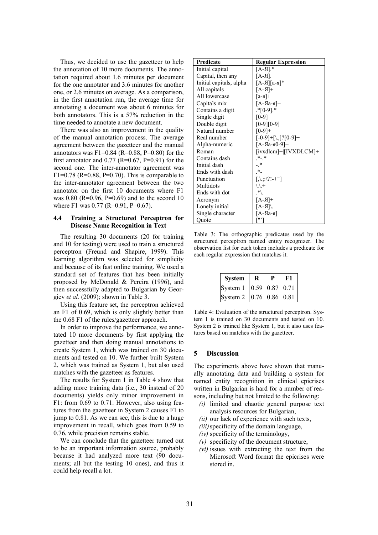Thus, we decided to use the gazetteer to help the annotation of 10 more documents. The annotation required about 1.6 minutes per document for the one annotator and 3.6 minutes for another one, or 2.6 minutes on average. As a comparison, in the first annotation run, the average time for annotating a document was about 6 minutes for both annotators. This is a 57% reduction in the time needed to annotate a new document.

There was also an improvement in the quality of the manual annotation process. The average agreement between the gazetteer and the manual annotators was F1=0.84 (R=0.88, P=0.80) for the first annotator and  $0.77$  (R=0.67, P=0.91) for the second one. The inter-annotator agreement was F1=0.78 (R=0.88, P=0.70). This is comparable to the inter-annotator agreement between the two annotator on the first 10 documents where F1 was  $0.80$  (R=0.96, P=0.69) and to the second 10 where F1 was 0.77 (R=0.91, P=0.67).

## **4.4 Training a Structured Perceptron for Disease Name Recognition in Text**

The resulting 30 documents (20 for training and 10 for testing) were used to train a structured perceptron (Freund and Shapire, 1999). This learning algorithm was selected for simplicity and because of its fast online training. We used a standard set of features that has been initially proposed by McDonald & Pereira (1996), and then successfully adapted to Bulgarian by Georgiev *et al.* (2009); shown in Table 3.

Using this feature set, the perceptron achieved an F1 of 0.69, which is only slightly better than the 0.68 F1 of the rules/gazetteer approach.

In order to improve the performance, we annotated 10 more documents by first applying the gazetteer and then doing manual annotations to create System 1, which was trained on 30 documents and tested on 10. We further built System 2, which was trained as System 1, but also used matches with the gazetteer as features.

The results for System 1 in Table 4 show that adding more training data (i.e., 30 instead of 20 documents) yields only minor improvement in F1: from 0.69 to 0.71. However, also using features from the gazetteer in System 2 causes F1 to jump to 0.81. As we can see, this is due to a huge improvement in recall, which goes from 0.59 to 0.76, while precision remains stable.

We can conclude that the gazetteer turned out to be an important information source, probably because it had analyzed more text (90 documents; all but the testing 10 ones), and thus it could help recall a lot.

| Predicate               | <b>Regular Expression</b>                                         |
|-------------------------|-------------------------------------------------------------------|
| Initial capital         | $[A-A]$ .*                                                        |
| Capital, then any       | $[A-A]$ .                                                         |
| Initial capitals, alpha | $[A-A][a-a]^*$                                                    |
| All capitals            | $[A-A]$                                                           |
| All lowercase           | $[a-a]$ +                                                         |
| Capitals mix            | $[A-RA-A]$                                                        |
| Contains a digit        | $*$ [0-9].*                                                       |
| Single digit            | $[0-9]$                                                           |
| Double digit            | $[0-9][0-9]$                                                      |
| Natural number          | $[0-9]+$                                                          |
| Real number             | $[-0-9]+[\lambda, ]?$ [0-9]+                                      |
| Alpha-numeric           | $[A-Aa-A0-9]+$                                                    |
| Roman                   | [ivxdlcm]+ [IVXDLCM]+                                             |
| Contains dash           | $*$ $*$                                                           |
| Initial dash            | $\cdot$ *                                                         |
| Ends with dash          |                                                                   |
| Punctuation             | $\left[ . .::\right]$ : $\left[  \right]$ : $\left[  \right]$ + " |
| Multidots               | $1/7 +$                                                           |
| Ends with dot           | $*$ \                                                             |
| Acronym                 | $\lceil A-A \rceil +$                                             |
| Lonely initial          | $/[A-A]$                                                          |
| Single character        | $[A-Ra-a]$                                                        |
| Quote                   |                                                                   |

Table 3: The orthographic predicates used by the structured perceptron named entity recognizer. The observation list for each token includes a predicate for each regular expression that matches it.

| <b>System</b>             |                 |  |  |
|---------------------------|-----------------|--|--|
| System 1                  | 10.59 0.87 0.71 |  |  |
| System 2   0.76 0.86 0.81 |                 |  |  |

Table 4: Evaluation of the structured perceptron. System 1 is trained on 30 documents and tested on 10. System 2 is trained like System 1, but it also uses features based on matches with the gazetteer.

## **5 Discussion**

The experiments above have shown that manually annotating data and building a system for named entity recognition in clinical epicrises written in Bulgarian is hard for a number of reasons, including but not limited to the following:

- *(i)* limited and chaotic general purpose text analysis resources for Bulgarian,
- *(ii)* our lack of experience with such texts,
- *(iii)*specificity of the domain language,
- *(iv)* specificity of the terminology,
- *(v)* specificity of the document structure,
- *(vi)* issues with extracting the text from the Microsoft Word format the epicrises were stored in.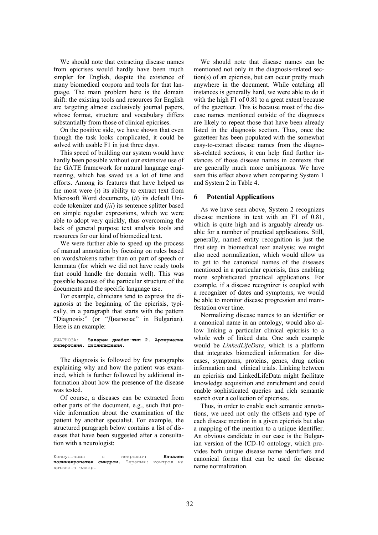We should note that extracting disease names from epicrises would hardly have been much simpler for English, despite the existence of many biomedical corpora and tools for that language. The main problem here is the domain shift: the existing tools and resources for English are targeting almost exclusively journal papers, whose format, structure and vocabulary differs substantially from those of clinical epicrises.

On the positive side, we have shown that even though the task looks complicated, it could be solved with usable F1 in just three days.

This speed of building our system would have hardly been possible without our extensive use of the GATE framework for natural language engineering, which has saved us a lot of time and efforts. Among its features that have helped us the most were (*i*) its ability to extract text from Microsoft Word documents, (*ii*) its default Unicode tokenizer and (*iii*) its sentence splitter based on simple regular expressions, which we were able to adopt very quickly, thus overcoming the lack of general purpose text analysis tools and resources for our kind of biomedical text.

We were further able to speed up the process of manual annotation by focusing on rules based on words/tokens rather than on part of speech or lemmata (for which we did not have ready tools that could handle the domain well). This was possible because of the particular structure of the documents and the specific language use.

For example, clinicians tend to express the diagnosis at the beginning of the epicrisis, typically, in a paragraph that starts with the pattern "Diagnosis:" (or "Диагноза:" in Bulgarian). Here is an example:

ДИАГНОЗА: **Захарен диабет-тип 2**. **Артериална хипертония**. **Дислипидемия**.

The diagnosis is followed by few paragraphs explaining why and how the patient was examined, which is further followed by additional information about how the presence of the disease was tested.

Of course, a diseases can be extracted from other parts of the document, e.g., such that provide information about the examination of the patient by another specialist. For example, the structured paragraph below contains a list of diseases that have been suggested after a consultation with a neurologist:

We should note that disease names can be mentioned not only in the diagnosis-related section(s) of an epicrisis, but can occur pretty much anywhere in the document. While catching all instances is generally hard, we were able to do it with the high F1 of 0.81 to a great extent because of the gazetteer. This is because most of the disease names mentioned outside of the diagnoses are likely to repeat those that have been already listed in the diagnosis section. Thus, once the gazetteer has been populated with the somewhat easy-to-extract disease names from the diagnosis-related sections, it can help find further instances of those disease names in contexts that are generally much more ambiguous. We have seen this effect above when comparing System 1 and System 2 in Table 4.

### **6 Potential Applications**

As we have seen above, System 2 recognizes disease mentions in text with an F1 of 0.81, which is quite high and is arguably already usable for a number of practical applications. Still, generally, named entity recognition is just the first step in biomedical text analysis; we might also need normalization, which would allow us to get to the canonical names of the diseases mentioned in a particular epicrisis, thus enabling more sophisticated practical applications. For example, if a disease recognizer is coupled with a recognizer of dates and symptoms, we would be able to monitor disease progression and manifestation over time.

Normalizing disease names to an identifier or a canonical name in an ontology, would also allow linking a particular clinical epicrisis to a whole web of linked data. One such example would be *LinkedLifeData*, which is a platform that integrates biomedical information for diseases, symptoms, proteins, genes, drug action information and clinical trials. Linking between an epicrisis and LinkedLifeData might facilitate knowledge acquisition and enrichment and could enable sophisticated queries and rich semantic search over a collection of epicrises.

Thus, in order to enable such semantic annotations, we need not only the offsets and type of each disease mention in a given epicrisis but also a mapping of the mention to a unique identifier. An obvious candidate in our case is the Bulgarian version of the ICD-10 ontology, which provides both unique disease name identifiers and canonical forms that can be used for disease name normalization.

Консултация с невролог: **Начален полиневропатен синдром.** Терапия: кръвната захар.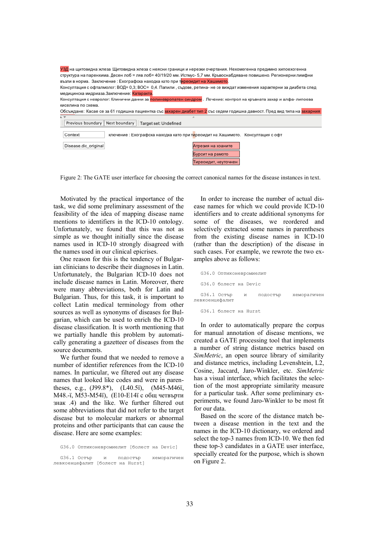| УЗД на щитовидна жлеза :Щитовидна жлеза с неясни граници и нерезки очертания. Нехомогенна предимно хипоехогенна<br>структура на паренхима. Десен лоб = ляв лоб= 40/19/20 мм. Истмус- 5.7 мм. Кръвоснабдяване повишено. Регионерни лимфни |
|------------------------------------------------------------------------------------------------------------------------------------------------------------------------------------------------------------------------------------------|
| възли в норма. Заключение : Ехографска находка като при тиреоидит на Хашимото.                                                                                                                                                           |
| Консултация с офталмолог: ВОД= 0,3; ВОС= 0,4. Папили, съдове, ретина- не се виждат изменения характерни за диабета след<br>медицинска мидриаза. Заключение: Катаракта.                                                                   |
| Консултация с невролог: Клинични данни за полиневропатен синдром. Лечение: контрол на кръвната захар и алфа-липоева                                                                                                                      |
| киселина по схема.                                                                                                                                                                                                                       |
| Обсъждане: Касае се за 61 годишна пациентка със захарен диабет тип 2 със седем годишна давност. Пред вид типа на захарния                                                                                                                |
| a v                                                                                                                                                                                                                                      |
| Previous boundary   Next boundary   Target set: Undefined                                                                                                                                                                                |
| ключение: Ехографска находка като при тиреоидит на Хашимото. Консултация с офт<br>Context                                                                                                                                                |
| Disease.dic original<br>Атрезия на хоаните                                                                                                                                                                                               |
| Бурсит на рамото                                                                                                                                                                                                                         |
| Тиреоидит, неуточнен                                                                                                                                                                                                                     |

Figure 2: The GATE user interface for choosing the correct canonical names for the disease instances in text.

Motivated by the practical importance of the task, we did some preliminary assessment of the feasibility of the idea of mapping disease name mentions to identifiers in the ICD-10 ontology. Unfortunately, we found that this was not as simple as we thought initially since the disease names used in ICD-10 strongly disagreed with the names used in our clinical epicrisеs.

One reason for this is the tendency of Bulgarian clinicians to describe their diagnoses in Latin. Unfortunately, the Bulgarian ICD-10 does not include disease names in Latin. Moreover, there were many abbreviations, both for Latin and Bulgarian. Thus, for this task, it is important to collect Latin medical terminology from other sources as well as synonyms of diseases for Bulgarian, which can be used to enrich the ICD-10 disease classification. It is worth mentioning that we partially handle this problem by automatically generating a gazetteer of diseases from the source documents.

We further found that we needed to remove a number of identifier references from the ICD-10 names. In particular, we filtered out any disease names that looked like codes and were in parentheses, e.g., (J99.8\*), (L40.5ї), (М45-М46ї, М48.-ї, М53-М54ї), (Е10-Е14ї с общ четвърти знак .4) and the like. We further filtered out some abbreviations that did not refer to the target disease but to molecular markers or abnormal proteins and other participants that can cause the disease. Here are some examples:

G36.0 Оптиконевромиелит [болест на Devic]

G36.1 Остър и подостър хеморагичен левкоенцефалит [болест на Hurst]

In order to increase the number of actual disease names for which we could provide ICD-10 identifiers and to create additional synonyms for some of the diseases, we reordered and selectively extracted some names in parentheses from the existing disease names in ICD-10 (rather than the description) of the disease in such cases. For example, we rewrote the two examples above as follows:

|                | G36.0 Оптиконевромиелит |   |          |             |
|----------------|-------------------------|---|----------|-------------|
|                | G36.0 болест на Devic   |   |          |             |
| левкоенцефалит | G36.1 OCTED             | M | ПОДОСТЪР | хеморагичен |
|                | G36.1 болест на Hurst   |   |          |             |

In order to automatically prepare the corpus for manual annotation of disease mentions, we created a GATE processing tool that implements a number of string distance metrics based on *SimMetric*, an open source library of similarity and distance metrics, including Levenshtein, L2, Cosine, Jaccard, Jaro-Winkler, etc. *SimMetric* has a visual interface, which facilitates the selection of the most appropriate similarity measure for a particular task. After some preliminary experiments, we found Jaro-Winkler to be most fit for our data.

Based on the score of the distance match between a disease mention in the text and the names in the ICD-10 dictionary, we ordered and select the top-3 names from ICD-10. We then fed these top-3 candidates in a GATE user interface, specially created for the purpose, which is shown on Figure 2.